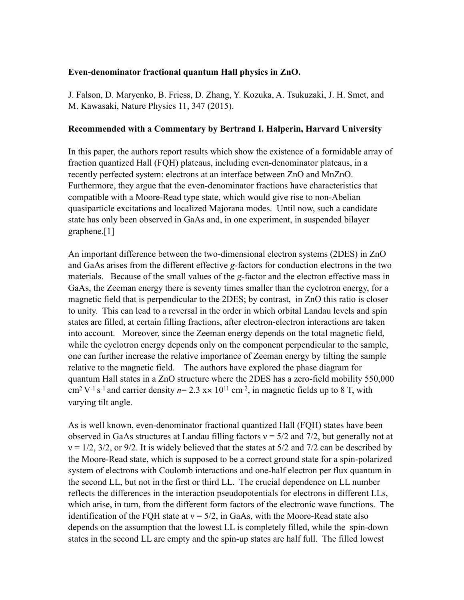## **Even-denominator fractional quantum Hall physics in ZnO.**

J. Falson, D. Maryenko, B. Friess, D. Zhang, Y. Kozuka, A. Tsukuzaki, J. H. Smet, and M. Kawasaki, Nature Physics 11, 347 (2015).

## **Recommended with a Commentary by Bertrand I. Halperin, Harvard University**

In this paper, the authors report results which show the existence of a formidable array of fraction quantized Hall (FQH) plateaus, including even-denominator plateaus, in a recently perfected system: electrons at an interface between ZnO and MnZnO. Furthermore, they argue that the even-denominator fractions have characteristics that compatible with a Moore-Read type state, which would give rise to non-Abelian quasiparticle excitations and localized Majorana modes. Until now, such a candidate state has only been observed in GaAs and, in one experiment, in suspended bilayer graphene.[1]

An important difference between the two-dimensional electron systems (2DES) in ZnO and GaAs arises from the different effective *g*-factors for conduction electrons in the two materials. Because of the small values of the *g*-factor and the electron effective mass in GaAs, the Zeeman energy there is seventy times smaller than the cyclotron energy, for a magnetic field that is perpendicular to the 2DES; by contrast, in ZnO this ratio is closer to unity. This can lead to a reversal in the order in which orbital Landau levels and spin states are filled, at certain filling fractions, after electron-electron interactions are taken into account. Moreover, since the Zeeman energy depends on the total magnetic field, while the cyclotron energy depends only on the component perpendicular to the sample, one can further increase the relative importance of Zeeman energy by tilting the sample relative to the magnetic field. The authors have explored the phase diagram for quantum Hall states in a ZnO structure where the 2DES has a zero-field mobility 550,000  $\text{cm}^2 \text{V}^{-1} \text{ s}^{-1}$  and carrier density  $n=2.3 \text{ x} \times 10^{11} \text{ cm}^{-2}$ , in magnetic fields up to 8 T, with varying tilt angle.

As is well known, even-denominator fractional quantized Hall (FQH) states have been observed in GaAs structures at Landau filling factors  $v = 5/2$  and 7/2, but generally not at  $v = 1/2$ ,  $3/2$ , or 9/2. It is widely believed that the states at  $5/2$  and  $7/2$  can be described by the Moore-Read state, which is supposed to be a correct ground state for a spin-polarized system of electrons with Coulomb interactions and one-half electron per flux quantum in the second LL, but not in the first or third LL. The crucial dependence on LL number reflects the differences in the interaction pseudopotentials for electrons in different LLs, which arise, in turn, from the different form factors of the electronic wave functions. The identification of the FQH state at  $v = 5/2$ , in GaAs, with the Moore-Read state also depends on the assumption that the lowest LL is completely filled, while the spin-down states in the second LL are empty and the spin-up states are half full. The filled lowest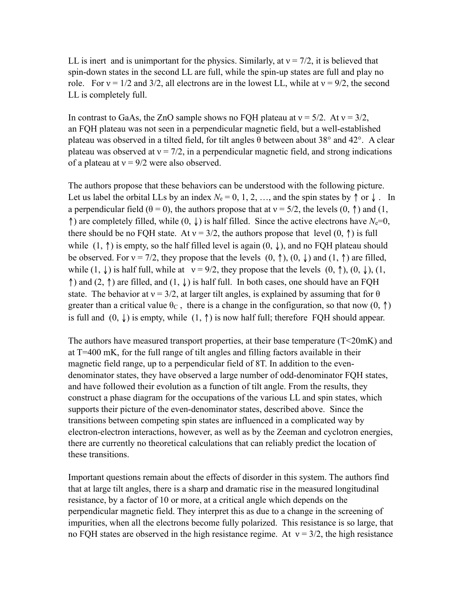LL is inert and is unimportant for the physics. Similarly, at  $v = \frac{7}{2}$ , it is believed that spin-down states in the second LL are full, while the spin-up states are full and play no role. For  $v = 1/2$  and  $3/2$ , all electrons are in the lowest LL, while at  $v = 9/2$ , the second LL is completely full.

In contrast to GaAs, the ZnO sample shows no FQH plateau at  $v = 5/2$ . At  $v = 3/2$ , an FQH plateau was not seen in a perpendicular magnetic field, but a well-established plateau was observed in a tilted field, for tilt angles  $\theta$  between about 38° and 42°. A clear plateau was observed at  $v = 7/2$ , in a perpendicular magnetic field, and strong indications of a plateau at  $v = 9/2$  were also observed.

The authors propose that these behaviors can be understood with the following picture. Let us label the orbital LLs by an index  $N_e = 0, 1, 2, \dots$ , and the spin states by  $\uparrow$  or  $\downarrow$ . In a perpendicular field ( $\theta = 0$ ), the authors propose that at  $v = 5/2$ , the levels (0, 1) and (1, ↑) are completely filled, while  $(0, \downarrow)$  is half filled. Since the active electrons have  $N_e=0$ , there should be no FQH state. At  $v = 3/2$ , the authors propose that level  $(0, \uparrow)$  is full while  $(1, \uparrow)$  is empty, so the half filled level is again  $(0, \downarrow)$ , and no FQH plateau should be observed. For  $v = 7/2$ , they propose that the levels  $(0, \uparrow)$ ,  $(0, \downarrow)$  and  $(1, \uparrow)$  are filled, while  $(1, \downarrow)$  is half full, while at  $v = 9/2$ , they propose that the levels  $(0, \uparrow)$ ,  $(0, \downarrow)$ ,  $(1, \downarrow)$  $\uparrow$ ) and (2,  $\uparrow$ ) are filled, and (1,  $\downarrow$ ) is half full. In both cases, one should have an FQH state. The behavior at  $v = 3/2$ , at larger tilt angles, is explained by assuming that for  $\theta$ greater than a critical value  $\theta_c$ , there is a change in the configuration, so that now  $(0, \uparrow)$ is full and  $(0, \downarrow)$  is empty, while  $(1, \uparrow)$  is now half full; therefore FQH should appear.

The authors have measured transport properties, at their base temperature (T<20mK) and at T=400 mK, for the full range of tilt angles and filling factors available in their magnetic field range, up to a perpendicular field of 8T. In addition to the evendenominator states, they have observed a large number of odd-denominator FQH states, and have followed their evolution as a function of tilt angle. From the results, they construct a phase diagram for the occupations of the various LL and spin states, which supports their picture of the even-denominator states, described above. Since the transitions between competing spin states are influenced in a complicated way by electron-electron interactions, however, as well as by the Zeeman and cyclotron energies, there are currently no theoretical calculations that can reliably predict the location of these transitions.

Important questions remain about the effects of disorder in this system. The authors find that at large tilt angles, there is a sharp and dramatic rise in the measured longitudinal resistance, by a factor of 10 or more, at a critical angle which depends on the perpendicular magnetic field. They interpret this as due to a change in the screening of impurities, when all the electrons become fully polarized. This resistance is so large, that no FOH states are observed in the high resistance regime. At  $v = 3/2$ , the high resistance